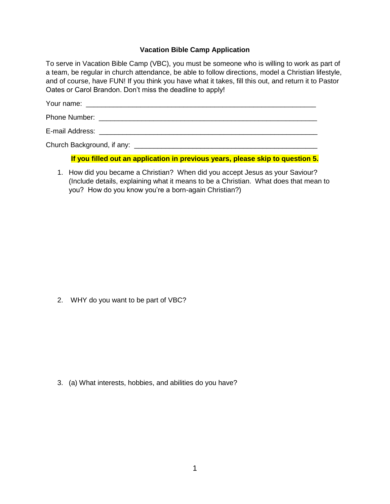## **Vacation Bible Camp Application**

To serve in Vacation Bible Camp (VBC), you must be someone who is willing to work as part of a team, be regular in church attendance, be able to follow directions, model a Christian lifestyle, and of course, have FUN! If you think you have what it takes, fill this out, and return it to Pastor Oates or Carol Brandon. Don't miss the deadline to apply!

Your name:  $\blacksquare$ 

Phone Number: \_\_\_\_\_\_\_\_\_\_\_\_\_\_\_\_\_\_\_\_\_\_\_\_\_\_\_\_\_\_\_\_\_\_\_\_\_\_\_\_\_\_\_\_\_\_\_\_\_\_\_\_\_\_\_\_

E-mail Address: \_\_\_\_\_\_\_\_\_\_\_\_\_\_\_\_\_\_\_\_\_\_\_\_\_\_\_\_\_\_\_\_\_\_\_\_\_\_\_\_\_\_\_\_\_\_\_\_\_\_\_\_\_\_\_\_

Church Background, if any: \_\_\_\_\_\_\_\_\_\_\_\_\_\_\_\_\_\_\_\_\_\_\_\_\_\_\_\_\_\_\_\_\_\_\_\_\_\_\_\_\_\_\_\_\_\_\_

## **If you filled out an application in previous years, please skip to question 5.**

1. How did you became a Christian? When did you accept Jesus as your Saviour? (Include details, explaining what it means to be a Christian. What does that mean to you? How do you know you're a born-again Christian?)

2. WHY do you want to be part of VBC?

3. (a) What interests, hobbies, and abilities do you have?